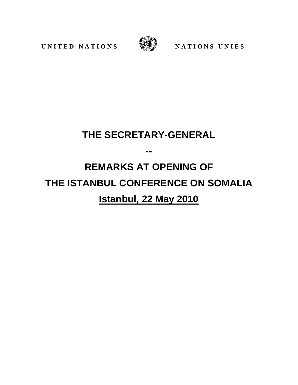**UNITED NATIONS** WE NATIONS UNIES



## **THE SECRETARY-GENERAL**

**--**

## **REMARKS AT OPENING OF THE ISTANBUL CONFERENCE ON SOMALIA Istanbul, 22 May 2010**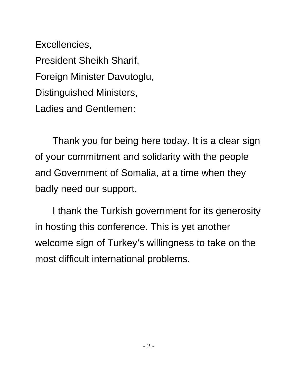Excellencies, President Sheikh Sharif, Foreign Minister Davutoglu, Distinguished Ministers, Ladies and Gentlemen:

Thank you for being here today. It is a clear sign of your commitment and solidarity with the people and Government of Somalia, at a time when they badly need our support.

I thank the Turkish government for its generosity in hosting this conference. This is yet another welcome sign of Turkey's willingness to take on the most difficult international problems.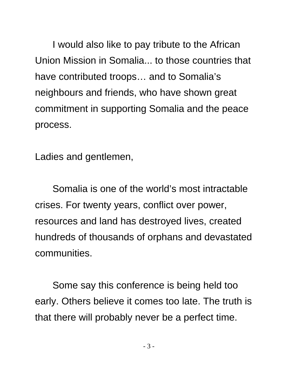I would also like to pay tribute to the African Union Mission in Somalia... to those countries that have contributed troops… and to Somalia's neighbours and friends, who have shown great commitment in supporting Somalia and the peace process.

Ladies and gentlemen,

Somalia is one of the world's most intractable crises. For twenty years, conflict over power, resources and land has destroyed lives, created hundreds of thousands of orphans and devastated communities.

Some say this conference is being held too early. Others believe it comes too late. The truth is that there will probably never be a perfect time.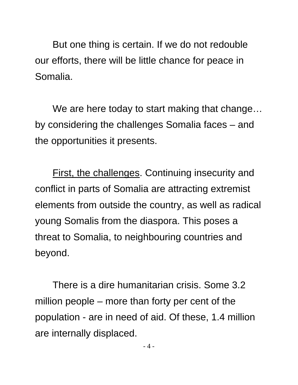But one thing is certain. If we do not redouble our efforts, there will be little chance for peace in Somalia.

We are here today to start making that change… by considering the challenges Somalia faces – and the opportunities it presents.

First, the challenges. Continuing insecurity and conflict in parts of Somalia are attracting extremist elements from outside the country, as well as radical young Somalis from the diaspora. This poses a threat to Somalia, to neighbouring countries and beyond.

There is a dire humanitarian crisis. Some 3.2 million people – more than forty per cent of the population - are in need of aid. Of these, 1.4 million are internally displaced.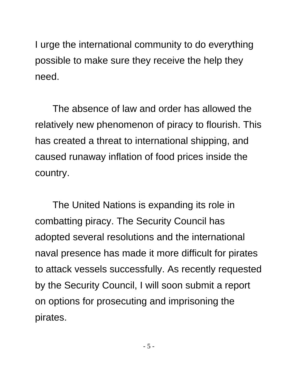I urge the international community to do everything possible to make sure they receive the help they need.

The absence of law and order has allowed the relatively new phenomenon of piracy to flourish. This has created a threat to international shipping, and caused runaway inflation of food prices inside the country.

The United Nations is expanding its role in combatting piracy. The Security Council has adopted several resolutions and the international naval presence has made it more difficult for pirates to attack vessels successfully. As recently requested by the Security Council, I will soon submit a report on options for prosecuting and imprisoning the pirates.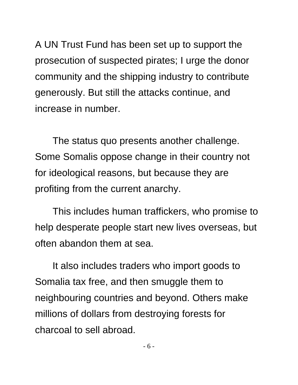A UN Trust Fund has been set up to support the prosecution of suspected pirates; I urge the donor community and the shipping industry to contribute generously. But still the attacks continue, and increase in number.

The status quo presents another challenge. Some Somalis oppose change in their country not for ideological reasons, but because they are profiting from the current anarchy.

This includes human traffickers, who promise to help desperate people start new lives overseas, but often abandon them at sea.

It also includes traders who import goods to Somalia tax free, and then smuggle them to neighbouring countries and beyond. Others make millions of dollars from destroying forests for charcoal to sell abroad.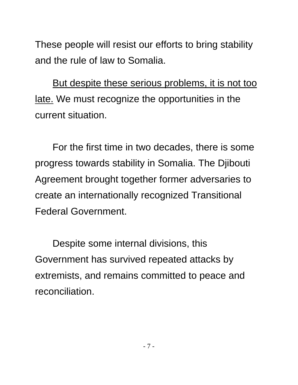These people will resist our efforts to bring stability and the rule of law to Somalia.

But despite these serious problems, it is not too late. We must recognize the opportunities in the current situation.

For the first time in two decades, there is some progress towards stability in Somalia. The Djibouti Agreement brought together former adversaries to create an internationally recognized Transitional Federal Government.

Despite some internal divisions, this Government has survived repeated attacks by extremists, and remains committed to peace and reconciliation.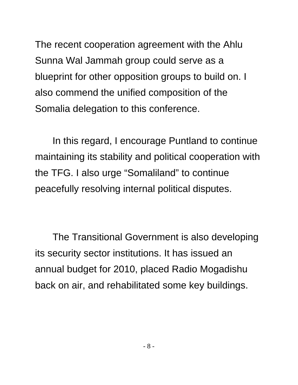The recent cooperation agreement with the Ahlu Sunna Wal Jammah group could serve as a blueprint for other opposition groups to build on. I also commend the unified composition of the Somalia delegation to this conference.

In this regard, I encourage Puntland to continue maintaining its stability and political cooperation with the TFG. I also urge "Somaliland" to continue peacefully resolving internal political disputes.

The Transitional Government is also developing its security sector institutions. It has issued an annual budget for 2010, placed Radio Mogadishu back on air, and rehabilitated some key buildings.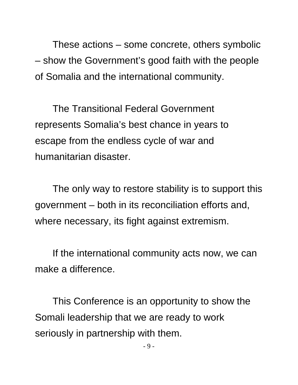These actions – some concrete, others symbolic – show the Government's good faith with the people of Somalia and the international community.

The Transitional Federal Government represents Somalia's best chance in years to escape from the endless cycle of war and humanitarian disaster.

The only way to restore stability is to support this government – both in its reconciliation efforts and, where necessary, its fight against extremism.

If the international community acts now, we can make a difference.

This Conference is an opportunity to show the Somali leadership that we are ready to work seriously in partnership with them.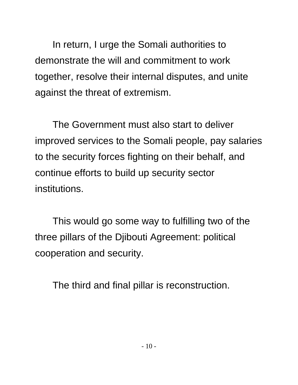In return, I urge the Somali authorities to demonstrate the will and commitment to work together, resolve their internal disputes, and unite against the threat of extremism.

The Government must also start to deliver improved services to the Somali people, pay salaries to the security forces fighting on their behalf, and continue efforts to build up security sector institutions.

This would go some way to fulfilling two of the three pillars of the Djibouti Agreement: political cooperation and security.

The third and final pillar is reconstruction.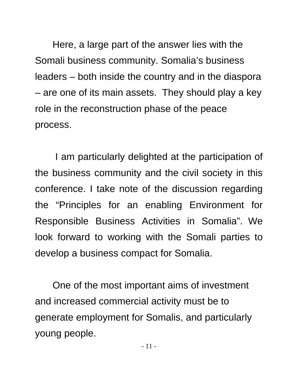Here, a large part of the answer lies with the Somali business community. Somalia's business leaders – both inside the country and in the diaspora – are one of its main assets. They should play a key role in the reconstruction phase of the peace process.

I am particularly delighted at the participation of the business community and the civil society in this conference. I take note of the discussion regarding the "Principles for an enabling Environment for Responsible Business Activities in Somalia". We look forward to working with the Somali parties to develop a business compact for Somalia.

One of the most important aims of investment and increased commercial activity must be to generate employment for Somalis, and particularly young people.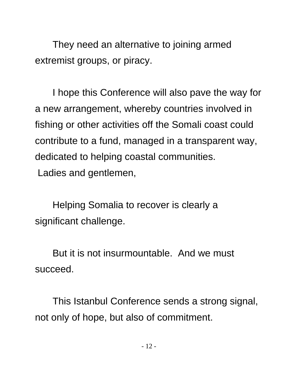They need an alternative to joining armed extremist groups, or piracy.

I hope this Conference will also pave the way for a new arrangement, whereby countries involved in fishing or other activities off the Somali coast could contribute to a fund, managed in a transparent way, dedicated to helping coastal communities. Ladies and gentlemen,

Helping Somalia to recover is clearly a significant challenge.

But it is not insurmountable. And we must succeed.

This Istanbul Conference sends a strong signal, not only of hope, but also of commitment.